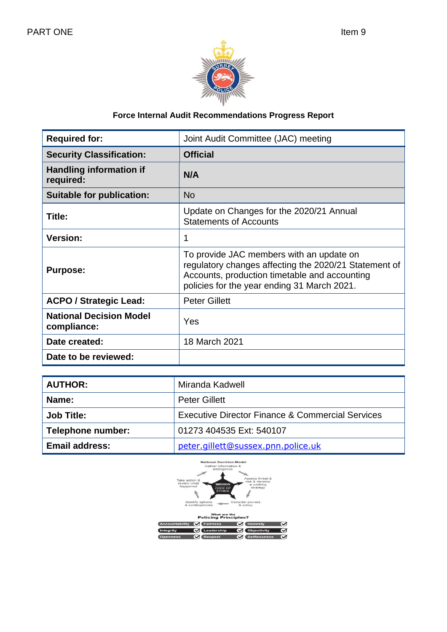

# **Force Internal Audit Recommendations Progress Report**

| <b>Required for:</b>                          | Joint Audit Committee (JAC) meeting                                                                                                                                                               |
|-----------------------------------------------|---------------------------------------------------------------------------------------------------------------------------------------------------------------------------------------------------|
| <b>Security Classification:</b>               | <b>Official</b>                                                                                                                                                                                   |
| <b>Handling information if</b><br>required:   | N/A                                                                                                                                                                                               |
| <b>Suitable for publication:</b>              | <b>No</b>                                                                                                                                                                                         |
| Title:                                        | Update on Changes for the 2020/21 Annual<br><b>Statements of Accounts</b>                                                                                                                         |
| <b>Version:</b>                               | 1                                                                                                                                                                                                 |
| <b>Purpose:</b>                               | To provide JAC members with an update on<br>regulatory changes affecting the 2020/21 Statement of<br>Accounts, production timetable and accounting<br>policies for the year ending 31 March 2021. |
| <b>ACPO / Strategic Lead:</b>                 | <b>Peter Gillett</b>                                                                                                                                                                              |
| <b>National Decision Model</b><br>compliance: | Yes                                                                                                                                                                                               |
| Date created:                                 | 18 March 2021                                                                                                                                                                                     |
| Date to be reviewed:                          |                                                                                                                                                                                                   |

| <b>AUTHOR:</b>        | Miranda Kadwell                                  |
|-----------------------|--------------------------------------------------|
| <b>Name:</b>          | <b>Peter Gillett</b>                             |
| <b>Job Title:</b>     | Executive Director Finance & Commercial Services |
| Telephone number:     | 01273 404535 Ext: 540107                         |
| <b>Email address:</b> | peter.gillett@sussex.pnn.police.uk               |

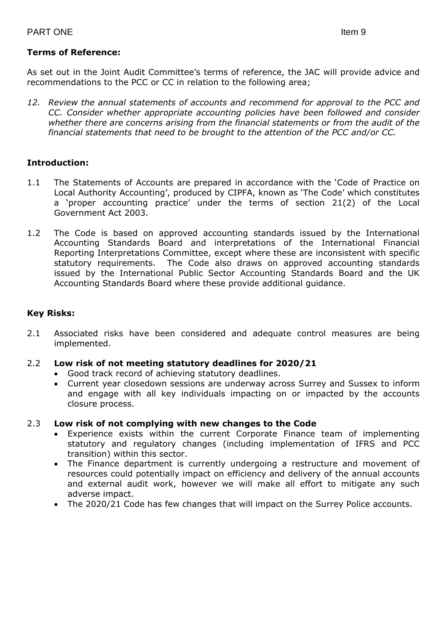As set out in the Joint Audit Committee's terms of reference, the JAC will provide advice and recommendations to the PCC or CC in relation to the following area;

*12. Review the annual statements of accounts and recommend for approval to the PCC and CC. Consider whether appropriate accounting policies have been followed and consider whether there are concerns arising from the financial statements or from the audit of the financial statements that need to be brought to the attention of the PCC and/or CC.*

## **Introduction:**

- 1.1 The Statements of Accounts are prepared in accordance with the 'Code of Practice on Local Authority Accounting', produced by CIPFA, known as 'The Code' which constitutes a 'proper accounting practice' under the terms of section 21(2) of the Local Government Act 2003.
- 1.2 The Code is based on approved accounting standards issued by the International Accounting Standards Board and interpretations of the International Financial Reporting Interpretations Committee, except where these are inconsistent with specific statutory requirements. The Code also draws on approved accounting standards issued by the International Public Sector Accounting Standards Board and the UK Accounting Standards Board where these provide additional guidance.

## **Key Risks:**

2.1 Associated risks have been considered and adequate control measures are being implemented.

#### 2.2 **Low risk of not meeting statutory deadlines for 2020/21**

- Good track record of achieving statutory deadlines.
- Current year closedown sessions are underway across Surrey and Sussex to inform and engage with all key individuals impacting on or impacted by the accounts closure process.

#### 2.3 **Low risk of not complying with new changes to the Code**

- Experience exists within the current Corporate Finance team of implementing statutory and regulatory changes (including implementation of IFRS and PCC transition) within this sector.
- The Finance department is currently undergoing a restructure and movement of resources could potentially impact on efficiency and delivery of the annual accounts and external audit work, however we will make all effort to mitigate any such adverse impact.
- The 2020/21 Code has few changes that will impact on the Surrey Police accounts.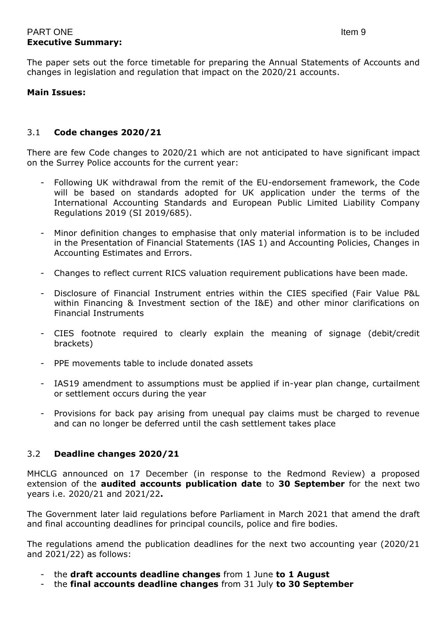## PART ONE Item 9 **Executive Summary:**

The paper sets out the force timetable for preparing the Annual Statements of Accounts and changes in legislation and regulation that impact on the 2020/21 accounts.

#### **Main Issues:**

## 3.1 **Code changes 2020/21**

There are few Code changes to 2020/21 which are not anticipated to have significant impact on the Surrey Police accounts for the current year:

- Following UK withdrawal from the remit of the EU-endorsement framework, the Code will be based on standards adopted for UK application under the terms of the International Accounting Standards and European Public Limited Liability Company Regulations 2019 (SI 2019/685).
- Minor definition changes to emphasise that only material information is to be included in the Presentation of Financial Statements (IAS 1) and Accounting Policies, Changes in Accounting Estimates and Errors.
- Changes to reflect current RICS valuation requirement publications have been made.
- Disclosure of Financial Instrument entries within the CIES specified (Fair Value P&L within Financing & Investment section of the I&E) and other minor clarifications on Financial Instruments
- CIES footnote required to clearly explain the meaning of signage (debit/credit brackets)
- PPE movements table to include donated assets
- IAS19 amendment to assumptions must be applied if in-year plan change, curtailment or settlement occurs during the year
- Provisions for back pay arising from unequal pay claims must be charged to revenue and can no longer be deferred until the cash settlement takes place

#### 3.2 **Deadline changes 2020/21**

MHCLG announced on 17 December (in response to the Redmond Review) a proposed extension of the **audited accounts publication date** to **30 September** for the next two years i.e. 2020/21 and 2021/22**.**

The Government later laid regulations before Parliament in March 2021 that amend the draft and final accounting deadlines for principal councils, police and fire bodies.

The regulations amend the publication deadlines for the next two accounting year (2020/21 and 2021/22) as follows:

- the **draft accounts deadline changes** from 1 June **to 1 August**
- the **final accounts deadline changes** from 31 July **to 30 September**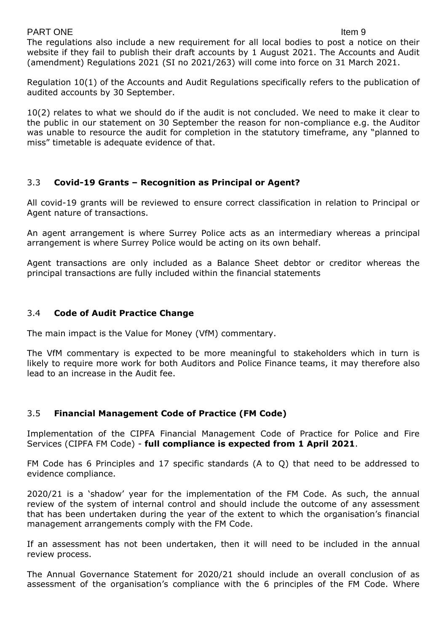#### PART ONE Item 9

The regulations also include a new requirement for all local bodies to post a notice on their website if they fail to publish their draft accounts by 1 August 2021. The Accounts and Audit (amendment) Regulations 2021 (SI no 2021/263) will come into force on 31 March 2021.

Regulation 10(1) of the Accounts and Audit Regulations specifically refers to the publication of audited accounts by 30 September.

10(2) relates to what we should do if the audit is not concluded. We need to make it clear to the public in our statement on 30 September the reason for non-compliance e.g. the Auditor was unable to resource the audit for completion in the statutory timeframe, any "planned to miss" timetable is adequate evidence of that.

## 3.3 **Covid-19 Grants – Recognition as Principal or Agent?**

All covid-19 grants will be reviewed to ensure correct classification in relation to Principal or Agent nature of transactions.

An agent arrangement is where Surrey Police acts as an intermediary whereas a principal arrangement is where Surrey Police would be acting on its own behalf.

Agent transactions are only included as a Balance Sheet debtor or creditor whereas the principal transactions are fully included within the financial statements

## 3.4 **Code of Audit Practice Change**

The main impact is the Value for Money (VfM) commentary.

The VfM commentary is expected to be more meaningful to stakeholders which in turn is likely to require more work for both Auditors and Police Finance teams, it may therefore also lead to an increase in the Audit fee.

## 3.5 **Financial Management Code of Practice (FM Code)**

Implementation of the CIPFA Financial Management Code of Practice for Police and Fire Services (CIPFA FM Code) - **full compliance is expected from 1 April 2021**.

FM Code has 6 Principles and 17 specific standards (A to Q) that need to be addressed to evidence compliance.

2020/21 is a 'shadow' year for the implementation of the FM Code. As such, the annual review of the system of internal control and should include the outcome of any assessment that has been undertaken during the year of the extent to which the organisation's financial management arrangements comply with the FM Code.

If an assessment has not been undertaken, then it will need to be included in the annual review process.

The Annual Governance Statement for 2020/21 should include an overall conclusion of as assessment of the organisation's compliance with the 6 principles of the FM Code. Where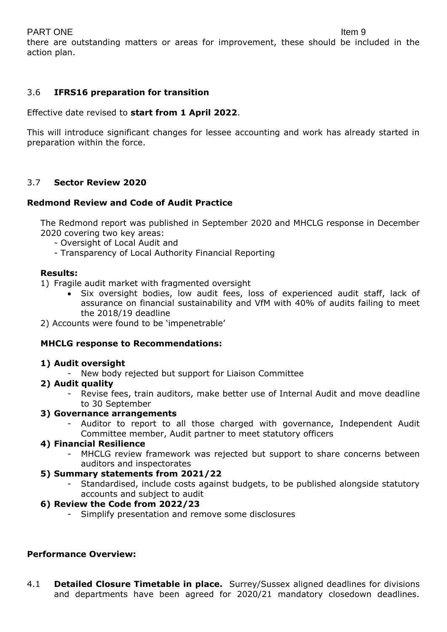## PART ONE Item 9

there are outstanding matters or areas for improvement, these should be included in the action plan.

## 3.6 **IFRS16 preparation for transition**

Effective date revised to **start from 1 April 2022**.

This will introduce significant changes for lessee accounting and work has already started in preparation within the force.

## 3.7 **Sector Review 2020**

#### **Redmond Review and Code of Audit Practice**

The Redmond report was published in September 2020 and MHCLG response in December 2020 covering two key areas:

- Oversight of Local Audit and
- Transparency of Local Authority Financial Reporting

#### **Results:**

- 1) Fragile audit market with fragmented oversight
	- Six oversight bodies, low audit fees, loss of experienced audit staff, lack of assurance on financial sustainability and VfM with 40% of audits failing to meet the 2018/19 deadline
- 2) Accounts were found to be 'impenetrable'

#### **MHCLG response to Recommendations:**

#### **1) Audit oversight**

- New body rejected but support for Liaison Committee

#### **2) Audit quality**

Revise fees, train auditors, make better use of Internal Audit and move deadline to 30 September

#### **3) Governance arrangements**

- Auditor to report to all those charged with governance, Independent Audit Committee member, Audit partner to meet statutory officers

#### **4) Financial Resilience**

MHCLG review framework was rejected but support to share concerns between auditors and inspectorates

#### **5) Summary statements from 2021/22**

Standardised, include costs against budgets, to be published alongside statutory accounts and subject to audit

#### **6) Review the Code from 2022/23**

- Simplify presentation and remove some disclosures

#### **Performance Overview:**

4.1 **Detailed Closure Timetable in place.** Surrey/Sussex aligned deadlines for divisions and departments have been agreed for 2020/21 mandatory closedown deadlines.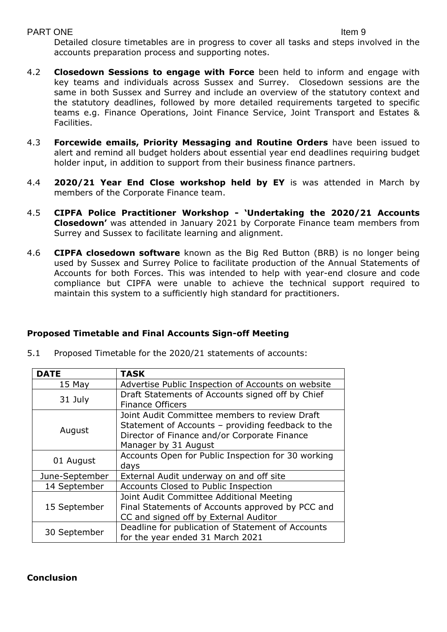Detailed closure timetables are in progress to cover all tasks and steps involved in the accounts preparation process and supporting notes.

- 4.2 **Closedown Sessions to engage with Force** been held to inform and engage with key teams and individuals across Sussex and Surrey. Closedown sessions are the same in both Sussex and Surrey and include an overview of the statutory context and the statutory deadlines, followed by more detailed requirements targeted to specific teams e.g. Finance Operations, Joint Finance Service, Joint Transport and Estates & Facilities.
- 4.3 **Forcewide emails, Priority Messaging and Routine Orders** have been issued to alert and remind all budget holders about essential year end deadlines requiring budget holder input, in addition to support from their business finance partners.
- 4.4 **2020/21 Year End Close workshop held by EY** is was attended in March by members of the Corporate Finance team.
- 4.5 **CIPFA Police Practitioner Workshop - 'Undertaking the 2020/21 Accounts Closedown'** was attended in January 2021 by Corporate Finance team members from Surrey and Sussex to facilitate learning and alignment.
- 4.6 **CIPFA closedown software** known as the Big Red Button (BRB) is no longer being used by Sussex and Surrey Police to facilitate production of the Annual Statements of Accounts for both Forces. This was intended to help with year-end closure and code compliance but CIPFA were unable to achieve the technical support required to maintain this system to a sufficiently high standard for practitioners.

## **Proposed Timetable and Final Accounts Sign-off Meeting**

5.1 Proposed Timetable for the 2020/21 statements of accounts:

| <b>DATE</b>    | <b>TASK</b>                                                                                                                                                                |
|----------------|----------------------------------------------------------------------------------------------------------------------------------------------------------------------------|
| $15$ May       | Advertise Public Inspection of Accounts on website                                                                                                                         |
| 31 July        | Draft Statements of Accounts signed off by Chief<br><b>Finance Officers</b>                                                                                                |
| August         | Joint Audit Committee members to review Draft<br>Statement of Accounts - providing feedback to the<br>Director of Finance and/or Corporate Finance<br>Manager by 31 August |
| 01 August      | Accounts Open for Public Inspection for 30 working<br>days                                                                                                                 |
| June-September | External Audit underway on and off site                                                                                                                                    |
| 14 September   | Accounts Closed to Public Inspection                                                                                                                                       |
| 15 September   | Joint Audit Committee Additional Meeting<br>Final Statements of Accounts approved by PCC and<br>CC and signed off by External Auditor                                      |
| 30 September   | Deadline for publication of Statement of Accounts<br>for the year ended 31 March 2021                                                                                      |

## **Conclusion**